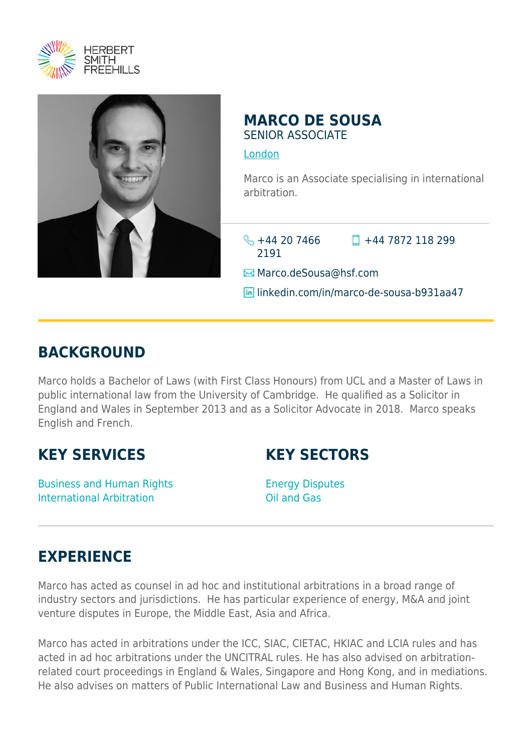



## **MARCO DE SOUSA** SENIOR ASSOCIATE

[London](https://www.herbertsmithfreehills.com/where-we-work/london)

Marco is an Associate specialising in international arbitration.

 $\frac{1}{2}$  +44 20 7466 2191

 $\Box$  +44 7872 118 299

 $\boxtimes$  **Marco.deSousa**@hsf.com

linkedin.com/in/marco-de-sousa-b931aa47

## **BACKGROUND**

Marco holds a Bachelor of Laws (with First Class Honours) from UCL and a Master of Laws in public international law from the University of Cambridge. He qualified as a Solicitor in England and Wales in September 2013 and as a Solicitor Advocate in 2018. Marco speaks English and French.

## **KEY SERVICES**

**KEY SECTORS**

Business and Human Rights International Arbitration

Energy Disputes Oil and Gas

## **EXPERIENCE**

Marco has acted as counsel in ad hoc and institutional arbitrations in a broad range of industry sectors and jurisdictions. He has particular experience of energy, M&A and joint venture disputes in Europe, the Middle East, Asia and Africa.

Marco has acted in arbitrations under the ICC, SIAC, CIETAC, HKIAC and LCIA rules and has acted in ad hoc arbitrations under the UNCITRAL rules. He has also advised on arbitrationrelated court proceedings in England & Wales, Singapore and Hong Kong, and in mediations. He also advises on matters of Public International Law and Business and Human Rights.